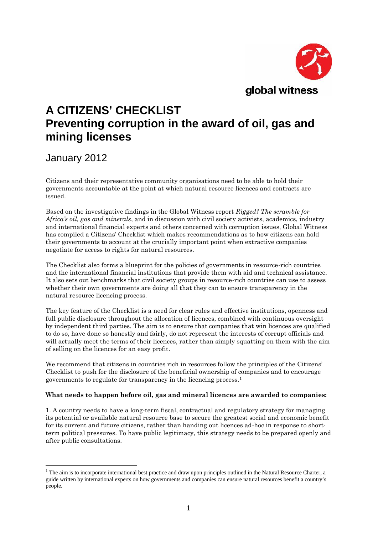

# **A CITIZENS' CHECKLIST Preventing corruption in the award of oil, gas and mining licenses**

## January 2012

Citizens and their representative community organisations need to be able to hold their governments accountable at the point at which natural resource licences and contracts are issued.

Based on the investigative findings in the Global Witness report *Rigged? The scramble for Africa's oil, gas and minerals*, and in discussion with civil society activists, academics, industry and international financial experts and others concerned with corruption issues, Global Witness has compiled a Citizens' Checklist which makes recommendations as to how citizens can hold their governments to account at the crucially important point when extractive companies negotiate for access to rights for natural resources.

The Checklist also forms a blueprint for the policies of governments in resource-rich countries and the international financial institutions that provide them with aid and technical assistance. It also sets out benchmarks that civil society groups in resource-rich countries can use to assess whether their own governments are doing all that they can to ensure transparency in the natural resource licencing process.

The key feature of the Checklist is a need for clear rules and effective institutions, openness and full public disclosure throughout the allocation of licences, combined with continuous oversight by independent third parties. The aim is to ensure that companies that win licences are qualified to do so, have done so honestly and fairly, do not represent the interests of corrupt officials and will actually meet the terms of their licences, rather than simply squatting on them with the aim of selling on the licences for an easy profit.

We recommend that citizens in countries rich in resources follow the principles of the Citizens' Checklist to push for the disclosure of the beneficial ownership of companies and to encourage governments to regulate for transparency in the licencing process.<sup>1</sup>

### **What needs to happen before oil, gas and mineral licences are awarded to companies:**

1. A country needs to have a long-term fiscal, contractual and regulatory strategy for managing its potential or available natural resource base to secure the greatest social and economic benefit for its current and future citizens, rather than handing out licences ad-hoc in response to short term political pressures. To have public legitimacy, this strategy needs to be prepared openly and after public consultations.

 $1$  The aim is to incorporate international best practice and draw upon principles outlined in the Natural Resource Charter, a guide written by international experts on how governments and companies can ensure natural resources benefit a country's people.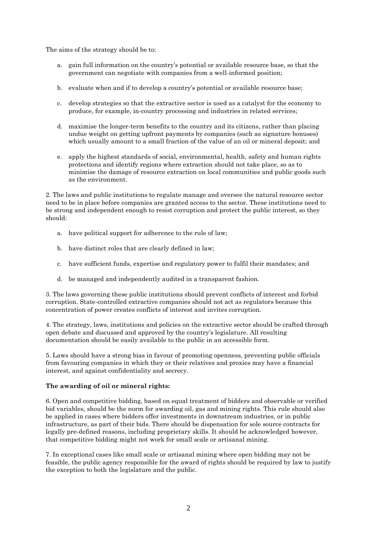The aims of the strategy should be to:

- a. gain full information on the country's potential or available resource base, so that the government can negotiate with companies from a well-informed position;
- b. evaluate when and if to develop a country's potential or available resource base;
- c. develop strategies so that the extractive sector is used as a catalyst for the economy to produce, for example, in-country processing and industries in related services;
- d. maximise the longer-term benefits to the country and its citizens, rather than placing undue weight on getting upfront payments by companies (such as signature bonuses) which usually amount to a small fraction of the value of an oil or mineral deposit; and
- e. apply the highest standards of social, environmental, health, safety and human rights protections and identify regions where extraction should not take place, so as to minimise the damage of resource extraction on local communities and public goods such as the environment.

2. The laws and public institutions to regulate manage and oversee the natural resource sector need to be in place before companies are granted access to the sector. These institutions need to be strong and independent enough to resist corruption and protect the public interest, so they should:

- a. have political support for adherence to the rule of law;
- b. have distinct roles that are clearly defined in law;
- c. have sufficient funds, expertise and regulatory power to fulfil their mandates; and
- d. be managed and independently audited in a transparent fashion.

3. The laws governing these public institutions should prevent conflicts of interest and forbid corruption. State-controlled extractive companies should not act as regulators because this concentration of power creates conflicts of interest and invites corruption.

4. The strategy, laws, institutions and policies on the extractive sector should be crafted through open debate and discussed and approved by the country's legislature. All resulting documentation should be easily available to the public in an accessible form.

5. Laws should have a strong bias in favour of promoting openness, preventing public officials from favouring companies in which they or their relatives and proxies may have a financial interest, and against confidentiality and secrecy.

#### **The awarding of oil or mineral rights:**

6. Open and competitive bidding, based on equal treatment of bidders and observable or verified bid variables, should be the norm for awarding oil, gas and mining rights. This rule should also be applied in cases where bidders offer investments in downstream industries, or in public infrastructure, as part of their bids. There should be dispensation for sole source contracts for legally pre-defined reasons, including proprietary skills. It should be acknowledged however, that competitive bidding might not work for small scale or artisanal mining.

7. In exceptional cases like small scale or artisanal mining where open bidding may not be feasible, the public agency responsible for the award of rights should be required by law to justify the exception to both the legislature and the public.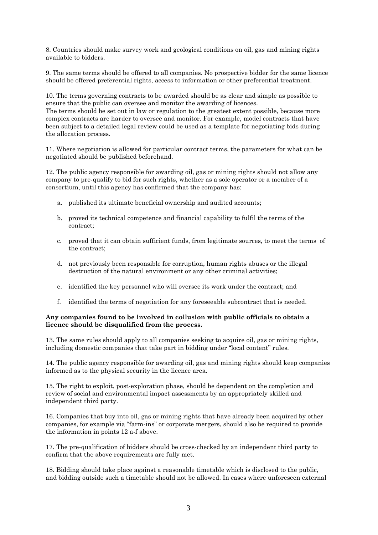8. Countries should make survey work and geological conditions on oil, gas and mining rights available to bidders.

9. The same terms should be offered to all companies. No prospective bidder for the same licence should be offered preferential rights, access to information or other preferential treatment.

10. The terms governing contracts to be awarded should be as clear and simple as possible to ensure that the public can oversee and monitor the awarding of licences. The terms should be set out in law or regulation to the greatest extent possible, because more complex contracts are harder to oversee and monitor. For example, model contracts that have been subject to a detailed legal review could be used as a template for negotiating bids during the allocation process.

11. Where negotiation is allowed for particular contract terms, the parameters for what can be negotiated should be published beforehand.

12. The public agency responsible for awarding oil, gas or mining rights should not allow any company to pre-qualify to bid for such rights, whether as a sole operator or a member of a consortium, until this agency has confirmed that the company has:

- a. published its ultimate beneficial ownership and audited accounts;
- b. proved its technical competence and financial capability to fulfil the terms of the contract;
- c. proved that it can obtain sufficient funds, from legitimate sources, to meet the terms of the contract;
- d. not previously been responsible for corruption, human rights abuses or the illegal destruction of the natural environment or any other criminal activities;
- e. identified the key personnel who will oversee its work under the contract; and
- f. identified the terms of negotiation for any foreseeable subcontract that is needed.

#### **Any companies found to be involved in collusion with public officials to obtain a licence should be disqualified from the process.**

13. The same rules should apply to all companies seeking to acquire oil, gas or mining rights, including domestic companies that take part in bidding under "local content" rules.

14. The public agency responsible for awarding oil, gas and mining rights should keep companies informed as to the physical security in the licence area.

15. The right to exploit, post-exploration phase, should be dependent on the completion and review of social and environmental impact assessments by an appropriately skilled and independent third party.

16. Companies that buy into oil, gas or mining rights that have already been acquired by other companies, for example via "farm-ins" or corporate mergers, should also be required to provide the information in points 12 a-f above.

17. The pre-qualification of bidders should be cross-checked by an independent third party to confirm that the above requirements are fully met.

18. Bidding should take place against a reasonable timetable which is disclosed to the public, and bidding outside such a timetable should not be allowed. In cases where unforeseen external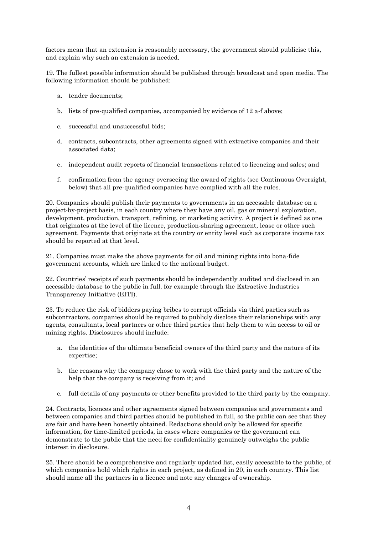factors mean that an extension is reasonably necessary, the government should publicise this, and explain why such an extension is needed.

19. The fullest possible information should be published through broadcast and open media. The following information should be published:

- a. tender documents;
- b. lists of pre-qualified companies, accompanied by evidence of 12 a-f above;
- c. successful and unsuccessful bids;
- d. contracts, subcontracts, other agreements signed with extractive companies and their associated data;
- e. independent audit reports of financial transactions related to licencing and sales; and
- f. confirmation from the agency overseeing the award of rights (see Continuous Oversight, below) that all pre-qualified companies have complied with all the rules.

20. Companies should publish their payments to governments in an accessible database on a project-by-project basis, in each country where they have any oil, gas or mineral exploration, development, production, transport, refining, or marketing activity. A project is defined as one that originates at the level of the licence, production-sharing agreement, lease or other such agreement. Payments that originate at the country or entity level such as corporate income tax should be reported at that level.

21. Companies must make the above payments for oil and mining rights into bona-fide government accounts, which are linked to the national budget.

22. Countries' receipts of such payments should be independently audited and disclosed in an accessible database to the public in full, for example through the Extractive Industries Transparency Initiative (EITI).

23. To reduce the risk of bidders paying bribes to corrupt officials via third parties such as subcontractors, companies should be required to publicly disclose their relationships with any agents, consultants, local partners or other third parties that help them to win access to oil or mining rights. Disclosures should include:

- a. the identities of the ultimate beneficial owners of the third party and the nature of its expertise;
- b. the reasons why the company chose to work with the third party and the nature of the help that the company is receiving from it; and
- c. full details of any payments or other benefits provided to the third party by the company.

24. Contracts, licences and other agreements signed between companies and governments and between companies and third parties should be published in full, so the public can see that they are fair and have been honestly obtained. Redactions should only be allowed for specific information, for time-limited periods, in cases where companies or the government can demonstrate to the public that the need for confidentiality genuinely outweighs the public interest in disclosure.

25. There should be a comprehensive and regularly updated list, easily accessible to the public, of which companies hold which rights in each project, as defined in 20, in each country. This list should name all the partners in a licence and note any changes of ownership.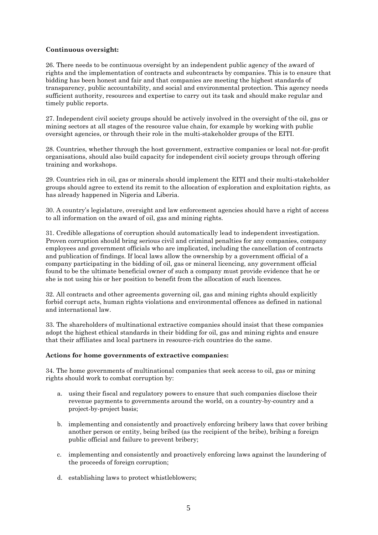#### **Continuous oversight:**

26. There needs to be continuous oversight by an independent public agency of the award of rights and the implementation of contracts and subcontracts by companies. This is to ensure that bidding has been honest and fair and that companies are meeting the highest standards of transparency, public accountability, and social and environmental protection. This agency needs sufficient authority, resources and expertise to carry out its task and should make regular and timely public reports.

27. Independent civil society groups should be actively involved in the oversight of the oil, gas or mining sectors at all stages of the resource value chain, for example by working with public oversight agencies, or through their role in the multi-stakeholder groups of the EITI.

28. Countries, whether through the host government, extractive companies or local not-for-profit organisations, should also build capacity for independent civil society groups through offering training and workshops.

29. Countries rich in oil, gas or minerals should implement the EITI and their multi-stakeholder groups should agree to extend its remit to the allocation of exploration and exploitation rights, as has already happened in Nigeria and Liberia.

30. A country's legislature, oversight and law enforcement agencies should have a right of access to all information on the award of oil, gas and mining rights.

31. Credible allegations of corruption should automatically lead to independent investigation. Proven corruption should bring serious civil and criminal penalties for any companies, company employees and government officials who are implicated, including the cancellation of contracts and publication of findings. If local laws allow the ownership by a government official of a company participating in the bidding of oil, gas or mineral licencing, any government official found to be the ultimate beneficial owner of such a company must provide evidence that he or she is not using his or her position to benefit from the allocation of such licences.

32. All contracts and other agreements governing oil, gas and mining rights should explicitly forbid corrupt acts, human rights violations and environmental offences as defined in national and international law.

33. The shareholders of multinational extractive companies should insist that these companies adopt the highest ethical standards in their bidding for oil, gas and mining rights and ensure that their affiliates and local partners in resource-rich countries do the same.

#### **Actions for home governments of extractive companies:**

34. The home governments of multinational companies that seek access to oil, gas or mining rights should work to combat corruption by:

- a. using their fiscal and regulatory powers to ensure that such companies disclose their revenue payments to governments around the world, on a country-by-country and a project-by-project basis;
- b. implementing and consistently and proactively enforcing bribery laws that cover bribing another person orentity, being bribed (as the recipient of the bribe), bribing a foreign public official and failure to prevent bribery;
- c. implementing and consistently and proactively enforcing laws against the laundering of the proceeds of foreign corruption;
- d. establishing laws to protect whistleblowers;